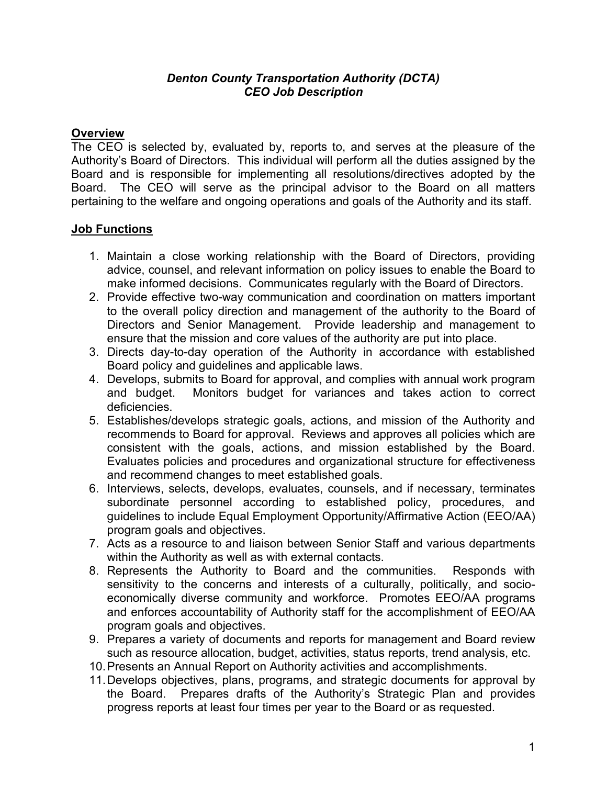#### *Denton County Transportation Authority (DCTA) CEO Job Description*

## **Overview**

The CEO is selected by, evaluated by, reports to, and serves at the pleasure of the Authority's Board of Directors. This individual will perform all the duties assigned by the Board and is responsible for implementing all resolutions/directives adopted by the Board. The CEO will serve as the principal advisor to the Board on all matters pertaining to the welfare and ongoing operations and goals of the Authority and its staff.

## **Job Functions**

- 1. Maintain a close working relationship with the Board of Directors, providing advice, counsel, and relevant information on policy issues to enable the Board to make informed decisions. Communicates regularly with the Board of Directors.
- 2. Provide effective two-way communication and coordination on matters important to the overall policy direction and management of the authority to the Board of Directors and Senior Management. Provide leadership and management to ensure that the mission and core values of the authority are put into place.
- 3. Directs day-to-day operation of the Authority in accordance with established Board policy and guidelines and applicable laws.
- 4. Develops, submits to Board for approval, and complies with annual work program and budget. Monitors budget for variances and takes action to correct deficiencies.
- 5. Establishes/develops strategic goals, actions, and mission of the Authority and recommends to Board for approval. Reviews and approves all policies which are consistent with the goals, actions, and mission established by the Board. Evaluates policies and procedures and organizational structure for effectiveness and recommend changes to meet established goals.
- 6. Interviews, selects, develops, evaluates, counsels, and if necessary, terminates subordinate personnel according to established policy, procedures, and guidelines to include Equal Employment Opportunity/Affirmative Action (EEO/AA) program goals and objectives.
- 7. Acts as a resource to and liaison between Senior Staff and various departments within the Authority as well as with external contacts.
- 8. Represents the Authority to Board and the communities. Responds with sensitivity to the concerns and interests of a culturally, politically, and socioeconomically diverse community and workforce. Promotes EEO/AA programs and enforces accountability of Authority staff for the accomplishment of EEO/AA program goals and objectives.
- 9. Prepares a variety of documents and reports for management and Board review such as resource allocation, budget, activities, status reports, trend analysis, etc.
- 10.Presents an Annual Report on Authority activities and accomplishments.
- 11.Develops objectives, plans, programs, and strategic documents for approval by the Board. Prepares drafts of the Authority's Strategic Plan and provides progress reports at least four times per year to the Board or as requested.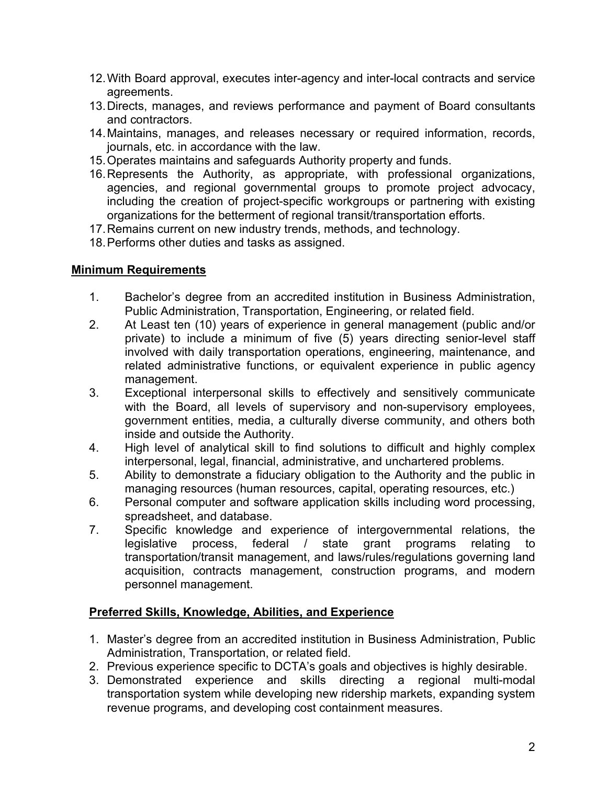- 12.With Board approval, executes inter-agency and inter-local contracts and service agreements.
- 13. Directs, manages, and reviews performance and payment of Board consultants and contractors.
- 14.Maintains, manages, and releases necessary or required information, records, journals, etc. in accordance with the law.
- 15.Operates maintains and safeguards Authority property and funds.
- 16.Represents the Authority, as appropriate, with professional organizations, agencies, and regional governmental groups to promote project advocacy, including the creation of project-specific workgroups or partnering with existing organizations for the betterment of regional transit/transportation efforts.
- 17.Remains current on new industry trends, methods, and technology.
- 18.Performs other duties and tasks as assigned.

# **Minimum Requirements**

- 1. Bachelor's degree from an accredited institution in Business Administration, Public Administration, Transportation, Engineering, or related field.
- 2. At Least ten (10) years of experience in general management (public and/or private) to include a minimum of five (5) years directing senior-level staff involved with daily transportation operations, engineering, maintenance, and related administrative functions, or equivalent experience in public agency management.
- 3. Exceptional interpersonal skills to effectively and sensitively communicate with the Board, all levels of supervisory and non-supervisory employees, government entities, media, a culturally diverse community, and others both inside and outside the Authority.
- 4. High level of analytical skill to find solutions to difficult and highly complex interpersonal, legal, financial, administrative, and unchartered problems.
- 5. Ability to demonstrate a fiduciary obligation to the Authority and the public in managing resources (human resources, capital, operating resources, etc.)
- 6. Personal computer and software application skills including word processing, spreadsheet, and database.
- 7. Specific knowledge and experience of intergovernmental relations, the legislative process, federal / state grant programs relating to transportation/transit management, and laws/rules/regulations governing land acquisition, contracts management, construction programs, and modern personnel management.

# **Preferred Skills, Knowledge, Abilities, and Experience**

- 1. Master's degree from an accredited institution in Business Administration, Public Administration, Transportation, or related field.
- 2. Previous experience specific to DCTA's goals and objectives is highly desirable.
- 3. Demonstrated experience and skills directing a regional multi-modal transportation system while developing new ridership markets, expanding system revenue programs, and developing cost containment measures.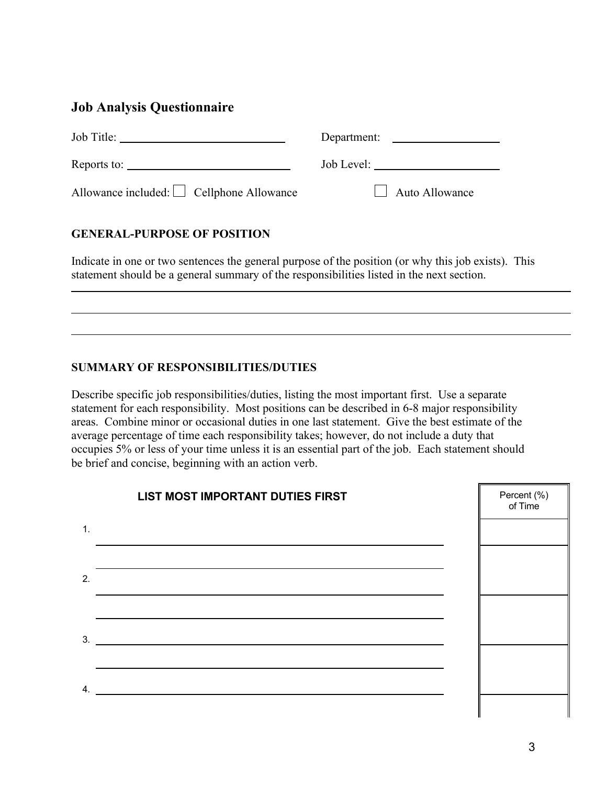# **Job Analysis Questionnaire**

| Job Title:                                                                                                                                                                                                                                                                                                                                                                                               | Department:           |
|----------------------------------------------------------------------------------------------------------------------------------------------------------------------------------------------------------------------------------------------------------------------------------------------------------------------------------------------------------------------------------------------------------|-----------------------|
| Reports to: $\frac{1}{\sqrt{1-\frac{1}{2}}\sqrt{1-\frac{1}{2}}\sqrt{1-\frac{1}{2}}\sqrt{1-\frac{1}{2}}\sqrt{1-\frac{1}{2}}\sqrt{1-\frac{1}{2}}\sqrt{1-\frac{1}{2}}\sqrt{1-\frac{1}{2}}\sqrt{1-\frac{1}{2}}\sqrt{1-\frac{1}{2}}\sqrt{1-\frac{1}{2}}\sqrt{1-\frac{1}{2}}\sqrt{1-\frac{1}{2}}\sqrt{1-\frac{1}{2}}\sqrt{1-\frac{1}{2}}\sqrt{1-\frac{1}{2}}\sqrt{1-\frac{1}{2}}\sqrt{1-\frac{1}{2}}\sqrt{1-\$ | Job Level:            |
| Allowance included: $\Box$ Cellphone Allowance                                                                                                                                                                                                                                                                                                                                                           | $\Box$ Auto Allowance |

### **GENERAL-PURPOSE OF POSITION**

Indicate in one or two sentences the general purpose of the position (or why this job exists). This statement should be a general summary of the responsibilities listed in the next section.

#### **SUMMARY OF RESPONSIBILITIES/DUTIES**

Describe specific job responsibilities/duties, listing the most important first. Use a separate statement for each responsibility. Most positions can be described in 6-8 major responsibility areas. Combine minor or occasional duties in one last statement. Give the best estimate of the average percentage of time each responsibility takes; however, do not include a duty that occupies 5% or less of your time unless it is an essential part of the job. Each statement should be brief and concise, beginning with an action verb.



 $\overline{a}$ 

ı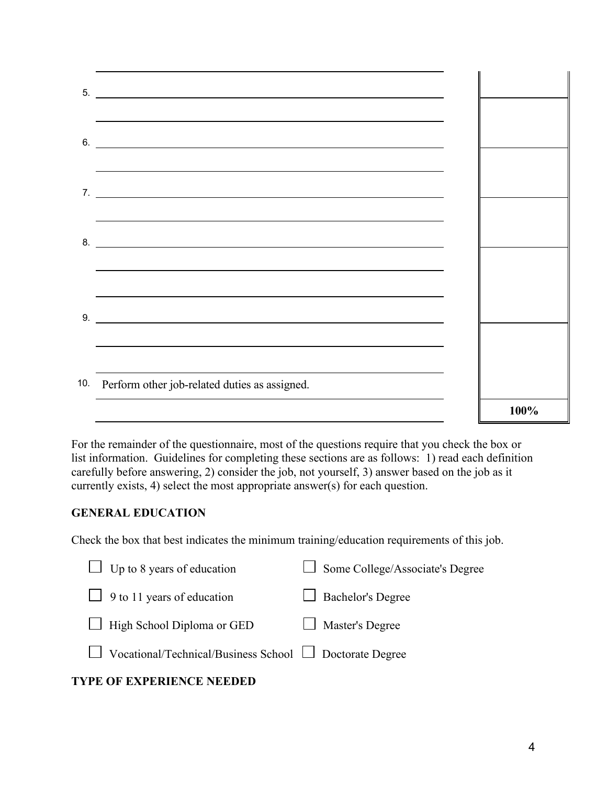| 5.                                                                                                                                                                                                                                              |      |
|-------------------------------------------------------------------------------------------------------------------------------------------------------------------------------------------------------------------------------------------------|------|
| <u> 1989 - Johann Stoff, amerikansk politiker (d. 1989)</u><br>$6.$ $\overline{\phantom{a}}$<br>,我们也不能在这里的时候,我们也不能在这里的时候,我们也不能会不能会不能会不能会不能会不能会不能会不能会不能会不能会。<br>第2012章 我们的时候,我们的时候,我们的时候,我们的时候,我们的时候,我们的时候,我们的时候,我们的时候,我们的时候,我们的时候,我们的时候,我们的时候,我 |      |
| ,我们也不会有什么。""我们的人,我们也不会有什么?""我们的人,我们也不会有什么?""我们的人,我们也不会有什么?""我们的人,我们也不会有什么?""我们的人                                                                                                                                                                |      |
| $8.$ $\overline{\phantom{a}}$                                                                                                                                                                                                                   |      |
| ,我们也不会有什么。""我们的人,我们也不会有什么?""我们的人,我们也不会有什么?""我们的人,我们也不会有什么?""我们的人,我们也不会有什么?""我们的人<br>$9.$ $\overline{\phantom{a}}$                                                                                                                               |      |
|                                                                                                                                                                                                                                                 |      |
| 10. Perform other job-related duties as assigned.                                                                                                                                                                                               |      |
|                                                                                                                                                                                                                                                 | 100% |

For the remainder of the questionnaire, most of the questions require that you check the box or list information. Guidelines for completing these sections are as follows: 1) read each definition carefully before answering, 2) consider the job, not yourself, 3) answer based on the job as it currently exists, 4) select the most appropriate answer(s) for each question.

#### **GENERAL EDUCATION**

Check the box that best indicates the minimum training/education requirements of this job.

| $\Box$ Up to 8 years of education                                   | $\Box$ Some College/Associate's Degree |
|---------------------------------------------------------------------|----------------------------------------|
| $\Box$ 9 to 11 years of education                                   | $\Box$ Bachelor's Degree               |
| $\Box$ High School Diploma or GED                                   | $\Box$ Master's Degree                 |
| $\Box$ Vocational/Technical/Business School $\Box$ Doctorate Degree |                                        |

## **TYPE OF EXPERIENCE NEEDED**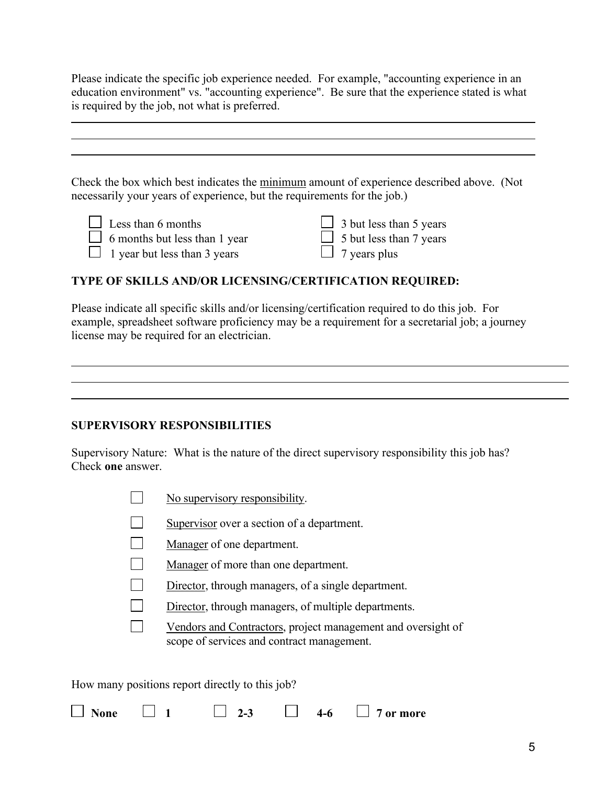Please indicate the specific job experience needed. For example, "accounting experience in an education environment" vs. "accounting experience". Be sure that the experience stated is what is required by the job, not what is preferred.

Check the box which best indicates the minimum amount of experience described above. (Not necessarily your years of experience, but the requirements for the job.)

| Less than 6 months            | $\Box$ 3 but less than 5 years |
|-------------------------------|--------------------------------|
| 6 months but less than 1 year | $\Box$ 5 but less than 7 years |
| 1 year but less than 3 years  | $\Box$ 7 years plus            |

#### **TYPE OF SKILLS AND/OR LICENSING/CERTIFICATION REQUIRED:**

Please indicate all specific skills and/or licensing/certification required to do this job. For example, spreadsheet software proficiency may be a requirement for a secretarial job; a journey license may be required for an electrician.

#### **SUPERVISORY RESPONSIBILITIES**

l

Supervisory Nature: What is the nature of the direct supervisory responsibility this job has? Check **one** answer.

- $\mathcal{L}$ No supervisory responsibility.
- Supervisor over a section of a department.
- Manager of one department.
- Manager of more than one department.
- Director, through managers, of a single department.
- Director, through managers, of multiple departments.
- $\Box$ Vendors and Contractors, project management and oversight of scope of services and contract management.

How many positions report directly to this job?

| None |  |  | $\Lambda$<br>--w | more<br>nr. |
|------|--|--|------------------|-------------|
|------|--|--|------------------|-------------|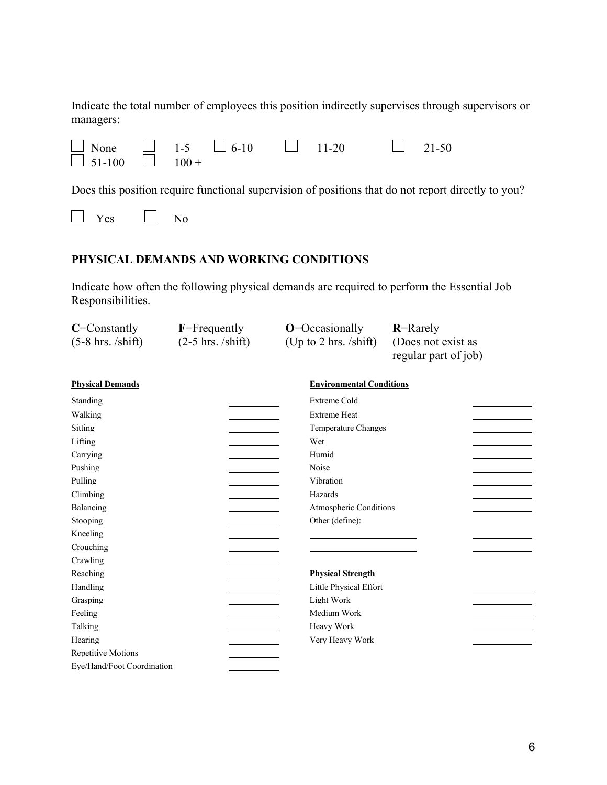Indicate the total number of employees this position indirectly supervises through supervisors or managers:

| $\Box$ None $\Box$ 1-5 $\Box$ 6-10 $\Box$ 11-20 |  |  |  | $21-50$ |
|-------------------------------------------------|--|--|--|---------|
| $\Box$ 51-100 $\Box$ 100 +                      |  |  |  |         |

Does this position require functional supervision of positions that do not report directly to you?

## **PHYSICAL DEMANDS AND WORKING CONDITIONS**

Indicate how often the following physical demands are required to perform the Essential Job Responsibilities.

| $C =$ Constantly           | $F = F$ requently    | $O = Occasionally$              | $R =$ Rarely         |
|----------------------------|----------------------|---------------------------------|----------------------|
| $(5-8)$ hrs. /shift)       | $(2-5)$ hrs. /shift) | (Up to 2 hrs. /shift)           | (Does not exist as   |
|                            |                      |                                 | regular part of job) |
| <b>Physical Demands</b>    |                      | <b>Environmental Conditions</b> |                      |
| Standing                   |                      | <b>Extreme Cold</b>             |                      |
| Walking                    |                      | <b>Extreme Heat</b>             |                      |
| Sitting                    |                      | Temperature Changes             |                      |
| Lifting                    |                      | Wet                             |                      |
| Carrying                   |                      | Humid                           |                      |
| Pushing                    |                      | Noise                           |                      |
| Pulling                    |                      | Vibration                       |                      |
| Climbing                   |                      | Hazards                         |                      |
| Balancing                  |                      | Atmospheric Conditions          |                      |
| Stooping                   |                      | Other (define):                 |                      |
| Kneeling                   |                      |                                 |                      |
| Crouching                  |                      |                                 |                      |
| Crawling                   |                      |                                 |                      |
| Reaching                   |                      | <b>Physical Strength</b>        |                      |
| Handling                   |                      | Little Physical Effort          |                      |
| Grasping                   |                      | Light Work                      |                      |
| Feeling                    |                      | Medium Work                     |                      |
| Talking                    |                      | Heavy Work                      |                      |
| Hearing                    |                      | Very Heavy Work                 |                      |
| <b>Repetitive Motions</b>  |                      |                                 |                      |
| Eye/Hand/Foot Coordination |                      |                                 |                      |